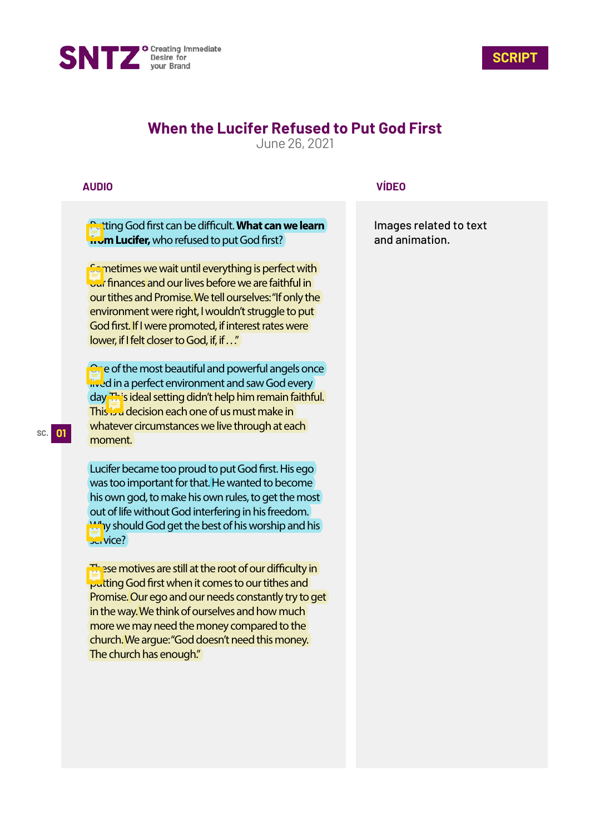



# **When the Lucifer Refused to Put God First**

June 26, 2021

## **AUDIO**

**Putting God first can be difficult. What can we learn from Lucifer,** who refused to put God first?

**Sometimes we wait until everything is perfect with Jur** finances and our lives before we are faithful in our tithes and Promise. We tell ourselves: "If only the environment were right, I wouldn't struggle to put God first. If I were promoted, if interest rates were lower, if I felt closer to God, if, if . . ."

**One of the most beautiful and powerful angels once** lived in a perfect environment and saw God every day. This ideal setting didn't help him remain faithful. This is a decision each one of us must make in whatever circumstances we live through at each moment.

Lucifer became too proud to put God first. His ego was too important for that. He wanted to become his own god, to make his own rules, to get the most out of life without God interfering in his freedom. Why should God get the best of his worship and his service?

These motives are still at the root of our difficulty in **Putting God first when it comes to our tithes and** Promise. Our ego and our needs constantly try to get in the way. We think of ourselves and how much more we may need the money compared to the church. We argue: "God doesn't need this money. The church has enough."

### **VÍDEO**

Images related to text and animation.